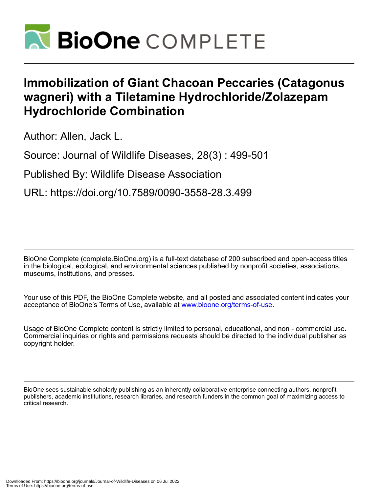

## **Immobilization of Giant Chacoan Peccaries (Catagonus wagneri) with a Tiletamine Hydrochloride/Zolazepam Hydrochloride Combination**

Author: Allen, Jack L.

Source: Journal of Wildlife Diseases, 28(3) : 499-501

Published By: Wildlife Disease Association

URL: https://doi.org/10.7589/0090-3558-28.3.499

BioOne Complete (complete.BioOne.org) is a full-text database of 200 subscribed and open-access titles in the biological, ecological, and environmental sciences published by nonprofit societies, associations, museums, institutions, and presses.

Your use of this PDF, the BioOne Complete website, and all posted and associated content indicates your acceptance of BioOne's Terms of Use, available at www.bioone.org/terms-of-use.

Usage of BioOne Complete content is strictly limited to personal, educational, and non - commercial use. Commercial inquiries or rights and permissions requests should be directed to the individual publisher as copyright holder.

BioOne sees sustainable scholarly publishing as an inherently collaborative enterprise connecting authors, nonprofit publishers, academic institutions, research libraries, and research funders in the common goal of maximizing access to critical research.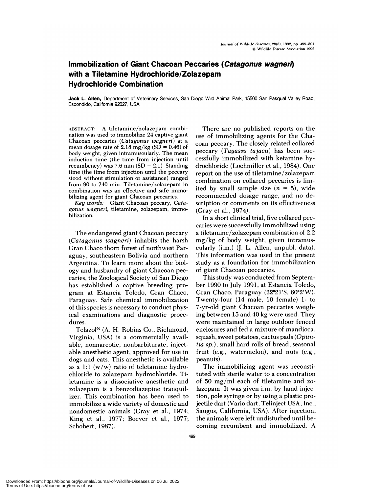## **Immobilization of Giant Chacoan Peccaries (Catagonus wagnen) with a Tiletamine Hydrochloride/Zolazepam Hydrochloride Combination**

**Jack L. Allen,** Department of Veterinary Services, San Diego Wild Animal Park, 15500 San Pasqual Valley Road, Escondido, California 92027, USA

ABSTRACT: A tiletamine/zolazepam combi nation was used to immobilize 24 captive giant Chacoan peccaries *(Catagonus wagneri)* at a mean dosage rate of  $2.18 \text{ mg/kg}$  (SD = 0.46) of body weight, given intramuscularly. The mean induction time (the time from injection until recumbency) was 7.6 min  $SD = 2.1$ . Standing time (the time from injection until the peccary stood without stimulation or assistance) ranged from 90 to 240 min. Tiletamine/zolazepam in combination was an effective and safe immobilizing agent for giant Chacoan peccaries.

*Key words:* Giant Chacoan peccary, *Catagonus wagneri,* tiletamine, zolazepam, immo bilization.

The endangered giant Chacoan peccary *(Catagonus wagneri)* inhabits the harsh Gran Chaco thorn forest of northwest Paraguay, southeastern Bolivia and northern Argentina. To learn more about the biology and husbandry of giant Chacoan peccaries, the Zoological Society of San Diego has established a captive breeding program at Estancia Toledo, Gran Chaco, Paraguay. Safe chemical immobilization of this species is necessary to conduct physical examinations and diagnostic procedures.

Telazol $\mathcal{P}$  (A. H. Robins Co., Richmond, Virginia, USA) is a commercially available, nonnarcotic, nonbarbiturate, injectable anesthetic agent, approved for use in dogs and cats. This anesthetic is available as a 1:1  $(w/w)$  ratio of teletamine hydrochloride to zolazepam hydrochloride. Tiletamine is a dissociative anesthetic and zolazepam is a benzodiazepine tranquilizer. This combination has been used to immobilize a wide variety of domestic and nondomestic animals (Gray et a!., 1974; King et al., 1977; Boever et al., 1977; Schobert, 1987).

There are no published reports on the use of immobilizing agents for the Cha coan peccary. The closely related collared peccary *(Tayassu tajacu)* has been suc cessfully immobilized with ketamine hydrochloride (Lochmiller et a!., 1984). One report on the use of tiletamine/zolazepam combination on collared peccaries is limited by small sample size  $(n = 5)$ , wide recommended dosage range, and no description or comments on its effectiveness (Gray et a!., 1974).

In a short clinical trial, five collared peecaries were successfully immobilized using a tiletamine/zolazepam combination of 2.2 mg/kg of body weight, given intramuscularly (i.m.) (J. L. Allen, unpubl. data). This information was used in the present study as a foundation for immobilization of giant Chacoan peccaries.

This study was conducted from September 1990 to July 1991, at Estancia Toledo, Gran Chaco, Paraguay  $(22^{\circ}21'S, 60^{\circ}2'W)$ . Twenty-four (14 male, 10 female) 1- to 7-yr-old giant Chacoan peccaries weighing between 15 and 40 kg were used. They were maintained in large outdoor fenced enclosures and fed a mixture of mandioca, squash, sweet potatoes, cactus pads *(0 puntia sp.),* small hard rolls of bread, seasonal fruit (e.g., watermelon), and nuts (e.g., peanuts).

The immobilizing agent was reconstituted with sterile water to a concentration of 50 mg/ml each of tiletamine and zolazepam. It was given i.m. by hand injection, pole syringe or by using a plastic projectile dart (Vario dart, Telinject USA, Inc., Saugus, California, USA). After injection, the animals were left undisturbed until becoming recumbent and immobilized. A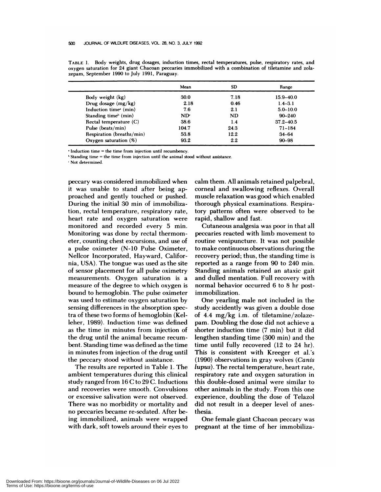**TABLE** 1. Body weights, drug dosages, induction times, rectal temperatures, pulse, respiratory rates, and oxygen saturation for 24 giant Chacoan peccaries immobilized with a combination of tiletamine and zola zepam, September 1990 to July 1991, Paraguay.

|                                   | Mean            | SD        | Range         |
|-----------------------------------|-----------------|-----------|---------------|
| Body weight (kg)                  | 30.0            | 7.18      | $15.9 - 40.0$ |
| Drug dosage $(mg/kg)$             | 2.18            | 0.46      | $1.4 - 3.1$   |
| Induction time <sup>®</sup> (min) | 7.6             | 2.1       | $5.0 - 10.0$  |
| Standing time <sup>b</sup> (min)  | ND <sub>r</sub> | <b>ND</b> | $90 - 240$    |
| Rectal temperature $(C)$          | 38.6            | 1.4       | $37.2 - 40.5$ |
| Pulse (beats/min)                 | 104.7           | 24.3      | $71 - 184$    |
| Respiration (breaths/min)         | 53.8            | 12.2      | $34 - 64$     |
| Oxygen saturation $(\%)$          | 93.2            | 2.2       | $90 - 98$     |

 $*$  Induction time = the time from injection until recumbency.

"Standing time <sup>=</sup> the time from injection until the animal stood without assistance.

Not determined.

peccary was considered immobilized when it was unable to stand after being approached and gently touched or pushed. During the initial 30 min of immobilization, rectal temperature, respiratory rate, heart rate and oxygen saturation were monitored and recorded every 5 min. Monitoring was done by rectal thermometer, counting chest excursions, and use of a pulse oximeter (N-10 Pulse Oximeter, Nellcor Incorporated, Hayward, California, USA). The tongue was used as the site of sensor placement for all pulse oximetry measurements. Oxygen saturation is a measure of the degree to which oxygen is bound to hemoglobin. The pulse oximeter was used to estimate oxygen saturation by sensing differences in the absorption spectra of these two forms of hemoglobin (Ke! leher, 1989). Induction time was defined as the time in minutes from injection of the drug until the animal became recum bent. Standing time was defined as the time in minutes from injection of the drug until the peccary stood without assistance.

The results are reported in Table 1. The ambient temperatures during this clinical study ranged from 16 C to29 C. Inductions and recoveries were smooth. Convulsions or excessive salivation were not observed. There was no morbidity or mortality and no peccaries became re-sedated. After being immobilized, animals were wrapped with dark, soft towels around their eyes to calm them. All animals retained palpebral, corneal and swallowing reflexes. Overall muscle relaxation was good which enabled thorough physical examinations. Respiratory patterns often were observed to be rapid, shallow and fast.

Cutaneous analgesia was poor in that all peccaries reacted with limb movement to routine venipuncture. It was not possible to make continuous observations during the recovery period; thus, the standing time is reported as a range from 90 to 240 min. Standing animals retained an ataxic gait and dulled mentation. Full recovery with normal behavior occurred 6 to 8 hr postimmobilization.

One yearling male not included in the study accidently was given a double dose of 4.4 mg/kg i.m. of tiletamine/zolazepam. Doubling the dose did not achieve a shorter induction time (7 min) but it did lengthen standing time (300 min) and the time until fully recovered (12 to 24 hr). This is consistent with Kreeger et al.'s (1990) observations in gray wolves *(Canis lupus*). The rectal temperature, heart rate, respiratory rate and oxygen saturation in this double-dosed animal were similar to other animals in the study. From this one experience, doubling the dose of Telazol did not result in a deeper level of anesthesia.

One female giant Chacoan peccary was pregnant at the time of her immobiliza